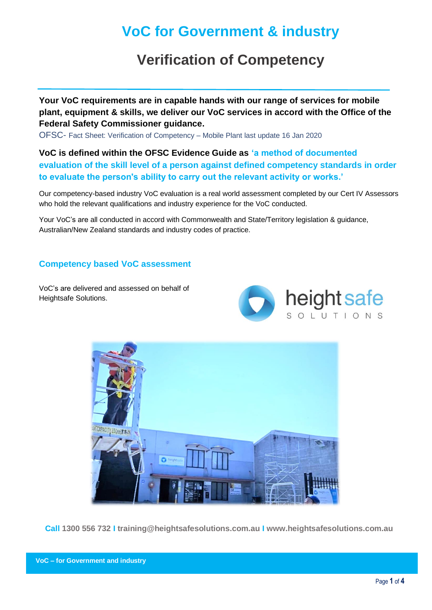# **VoC for Government & industry**

# **Verification of Competency**

**Your VoC requirements are in capable hands with our range of services for mobile plant, equipment & skills, we deliver our VoC services in accord with the Office of the Federal Safety Commissioner guidance.**

OFSC- [Fact Sheet: Verification of Competency –](https://www.fsc.gov.au/sites/default/files/2020-08/Fact%20Sheet%20Verification%20of%20Competency%20-%20Mobile%20Plant.pdf) [Mobile Plant last update 16 Jan 2020](https://www.fsc.gov.au/sites/default/files/2020-08/Fact%20Sheet%20Verification%20of%20Competency%20-%20Mobile%20Plant.pdf)

**VoC is defined within the OFSC Evidence Guide as 'a method of documented evaluation of the skill level of a person against defined competency standards in order to evaluate the person's ability to carry out the relevant activity or works.'**

Our competency-based industry VoC evaluation is a real world assessment completed by our Cert IV Assessors who hold the relevant qualifications and industry experience for the VoC conducted.

Your VoC's are all conducted in accord with Commonwealth and State/Territory legislation & guidance, Australian/New Zealand standards and industry codes of practice.

### **Competency based VoC assessment**

VoC's are delivered and assessed on behalf of Heightsafe Solutions.





**Call 1300 556 732 I training@heightsafesolutions.com.au I www.heightsafesolutions.com.au**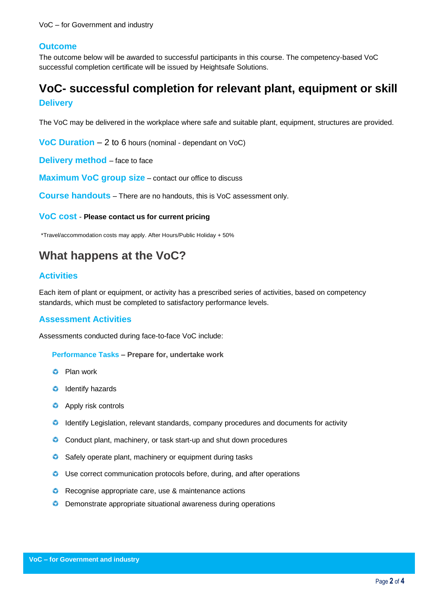#### **Outcome**

The outcome below will be awarded to successful participants in this course. The competency-based VoC successful completion certificate will be issued by Heightsafe Solutions.

## **VoC- successful completion for relevant plant, equipment or skill Delivery**

The VoC may be delivered in the workplace where safe and suitable plant, equipment, structures are provided.

**VoC Duration** – 2 to 6 hours (nominal - dependant on VoC)

**Delivery method** – face to face

**Maximum VoC group size** – contact our office to discuss

**Course handouts** – There are no handouts, this is VoC assessment only.

**VoC cost** - **Please contact us for current pricing**

\*Travel/accommodation costs may apply. After Hours/Public Holiday + 50%

## **What happens at the VoC?**

#### **Activities**

Each item of plant or equipment, or activity has a prescribed series of activities, based on competency standards, which must be completed to satisfactory performance levels.

#### **Assessment Activities**

Assessments conducted during face-to-face VoC include:

**Performance Tasks – Prepare for, undertake work** 

- **O** Plan work
- **O** Identify hazards
- **C** Apply risk controls
- **C** Identify Legislation, relevant standards, company procedures and documents for activity
- **C** Conduct plant, machinery, or task start-up and shut down procedures
- **Safely operate plant, machinery or equipment during tasks**
- Use correct communication protocols before, during, and after operations
- **C** Recognise appropriate care, use & maintenance actions
- **O** Demonstrate appropriate situational awareness during operations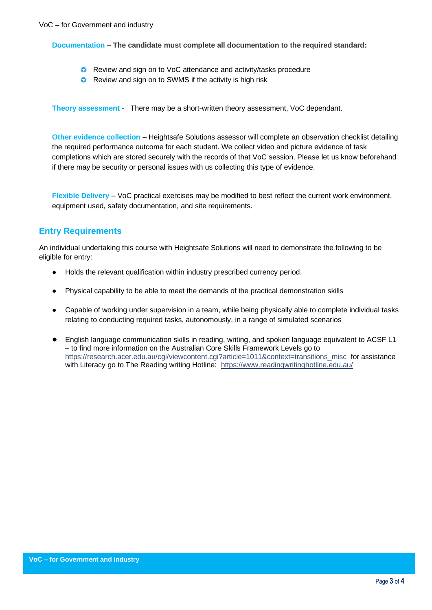**Documentation – The candidate must complete all documentation to the required standard:**

- **C** Review and sign on to VoC attendance and activity/tasks procedure
- **C** Review and sign on to SWMS if the activity is high risk

**Theory assessment** - There may be a short-written theory assessment, VoC dependant.

**Other evidence collection** – Heightsafe Solutions assessor will complete an observation checklist detailing the required performance outcome for each student. We collect video and picture evidence of task completions which are stored securely with the records of that VoC session. Please let us know beforehand if there may be security or personal issues with us collecting this type of evidence.

**Flexible Delivery** – VoC practical exercises may be modified to best reflect the current work environment, equipment used, safety documentation, and site requirements.

### **Entry Requirements**

An individual undertaking this course with Heightsafe Solutions will need to demonstrate the following to be eligible for entry:

- Holds the relevant qualification within industry prescribed currency period.
- Physical capability to be able to meet the demands of the practical demonstration skills
- Capable of working under supervision in a team, while being physically able to complete individual tasks relating to conducting required tasks, autonomously, in a range of simulated scenarios
- English language communication skills in reading, writing, and spoken language equivalent to ACSF L1 – to find more information on the Australian Core Skills Framework Levels go to [https://research.acer.edu.au/cgi/viewcontent.cgi?article=1011&context=transitions\\_misc](https://research.acer.edu.au/cgi/viewcontent.cgi?article=1011&context=transitions_misc) for assistance with Literacy go to The Reading writing Hotline: <https://www.readingwritinghotline.edu.au/>